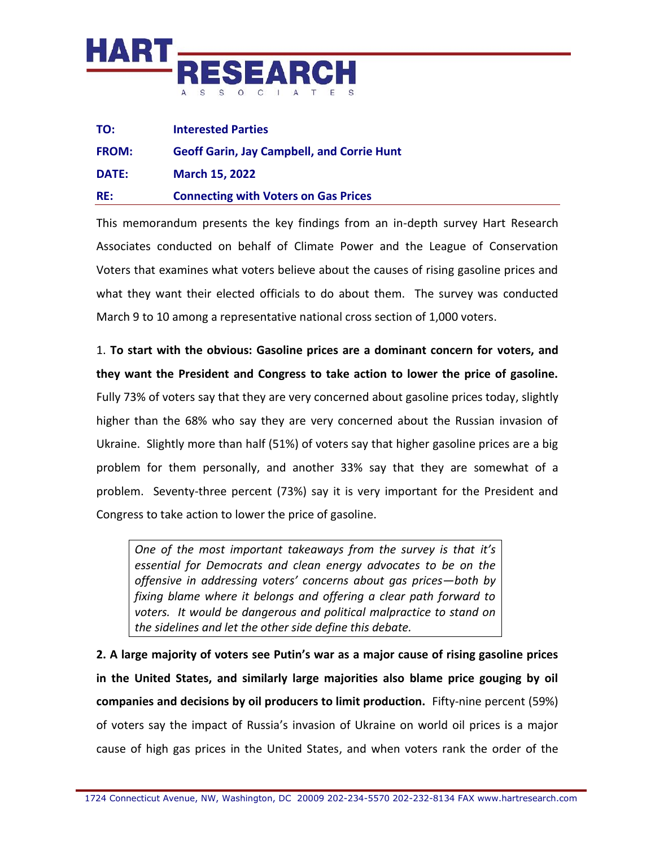

| TO:          | <b>Interested Parties</b>                         |
|--------------|---------------------------------------------------|
| <b>FROM:</b> | <b>Geoff Garin, Jay Campbell, and Corrie Hunt</b> |
| DATE:        | <b>March 15, 2022</b>                             |
| RE:          | <b>Connecting with Voters on Gas Prices</b>       |

This memorandum presents the key findings from an in-depth survey Hart Research Associates conducted on behalf of Climate Power and the League of Conservation Voters that examines what voters believe about the causes of rising gasoline prices and what they want their elected officials to do about them. The survey was conducted March 9 to 10 among a representative national cross section of 1,000 voters.

1. **To start with the obvious: Gasoline prices are a dominant concern for voters, and they want the President and Congress to take action to lower the price of gasoline.**  Fully 73% of voters say that they are very concerned about gasoline prices today, slightly higher than the 68% who say they are very concerned about the Russian invasion of Ukraine. Slightly more than half (51%) of voters say that higher gasoline prices are a big problem for them personally, and another 33% say that they are somewhat of a problem. Seventy-three percent (73%) say it is very important for the President and Congress to take action to lower the price of gasoline.

*One of the most important takeaways from the survey is that it's essential for Democrats and clean energy advocates to be on the offensive in addressing voters' concerns about gas prices—both by fixing blame where it belongs and offering a clear path forward to voters. It would be dangerous and political malpractice to stand on the sidelines and let the other side define this debate.*

**2. A large majority of voters see Putin's war as a major cause of rising gasoline prices in the United States, and similarly large majorities also blame price gouging by oil companies and decisions by oil producers to limit production.** Fifty-nine percent (59%) of voters say the impact of Russia's invasion of Ukraine on world oil prices is a major cause of high gas prices in the United States, and when voters rank the order of the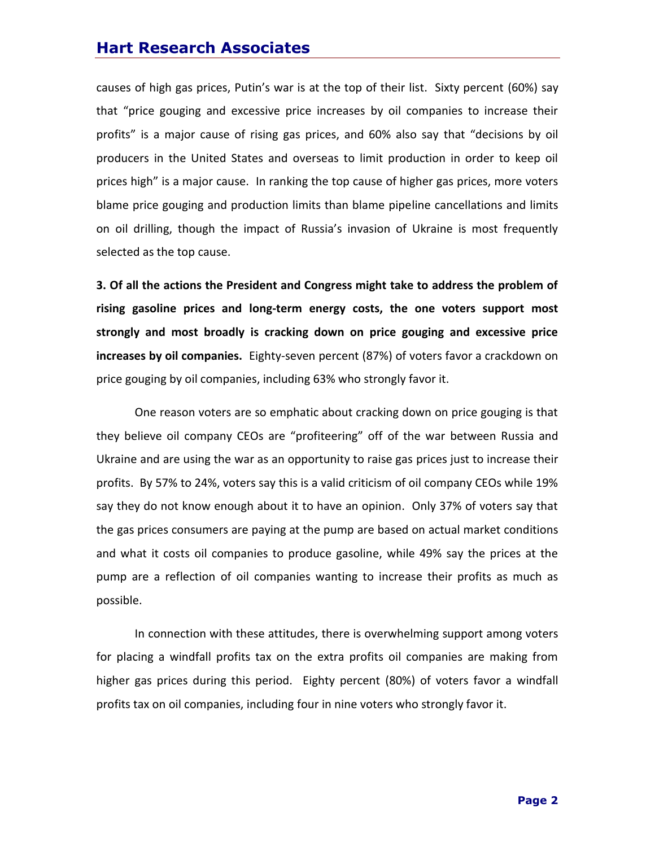## **Hart Research Associates**

causes of high gas prices, Putin's war is at the top of their list. Sixty percent (60%) say that "price gouging and excessive price increases by oil companies to increase their profits" is a major cause of rising gas prices, and 60% also say that "decisions by oil producers in the United States and overseas to limit production in order to keep oil prices high" is a major cause. In ranking the top cause of higher gas prices, more voters blame price gouging and production limits than blame pipeline cancellations and limits on oil drilling, though the impact of Russia's invasion of Ukraine is most frequently selected as the top cause.

**3. Of all the actions the President and Congress might take to address the problem of rising gasoline prices and long-term energy costs, the one voters support most strongly and most broadly is cracking down on price gouging and excessive price increases by oil companies.** Eighty-seven percent (87%) of voters favor a crackdown on price gouging by oil companies, including 63% who strongly favor it.

One reason voters are so emphatic about cracking down on price gouging is that they believe oil company CEOs are "profiteering" off of the war between Russia and Ukraine and are using the war as an opportunity to raise gas prices just to increase their profits. By 57% to 24%, voters say this is a valid criticism of oil company CEOs while 19% say they do not know enough about it to have an opinion. Only 37% of voters say that the gas prices consumers are paying at the pump are based on actual market conditions and what it costs oil companies to produce gasoline, while 49% say the prices at the pump are a reflection of oil companies wanting to increase their profits as much as possible.

In connection with these attitudes, there is overwhelming support among voters for placing a windfall profits tax on the extra profits oil companies are making from higher gas prices during this period. Eighty percent (80%) of voters favor a windfall profits tax on oil companies, including four in nine voters who strongly favor it.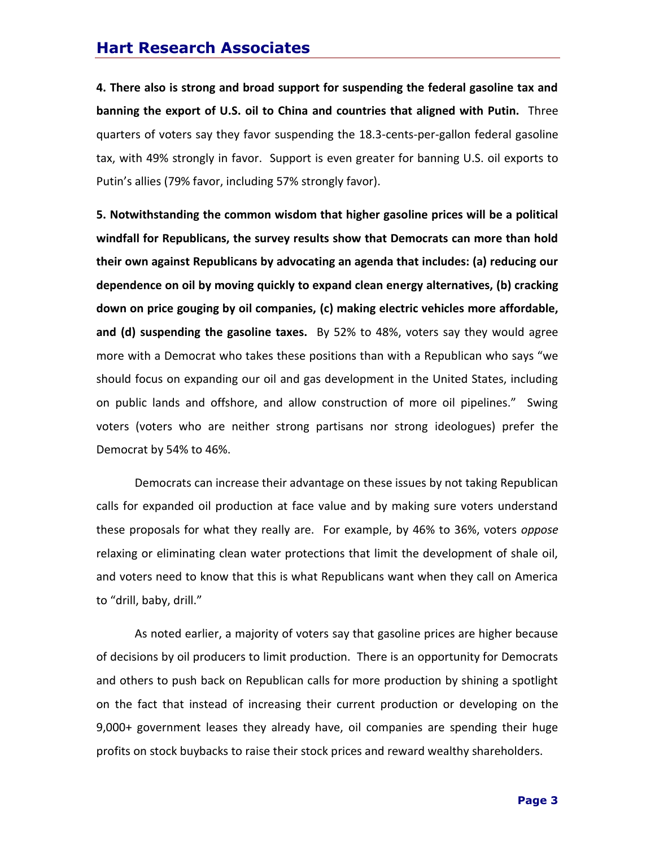## **Hart Research Associates**

**4. There also is strong and broad support for suspending the federal gasoline tax and banning the export of U.S. oil to China and countries that aligned with Putin.** Three quarters of voters say they favor suspending the 18.3-cents-per-gallon federal gasoline tax, with 49% strongly in favor. Support is even greater for banning U.S. oil exports to Putin's allies (79% favor, including 57% strongly favor).

**5. Notwithstanding the common wisdom that higher gasoline prices will be a political windfall for Republicans, the survey results show that Democrats can more than hold their own against Republicans by advocating an agenda that includes: (a) reducing our dependence on oil by moving quickly to expand clean energy alternatives, (b) cracking down on price gouging by oil companies, (c) making electric vehicles more affordable, and (d) suspending the gasoline taxes.** By 52% to 48%, voters say they would agree more with a Democrat who takes these positions than with a Republican who says "we should focus on expanding our oil and gas development in the United States, including on public lands and offshore, and allow construction of more oil pipelines." Swing voters (voters who are neither strong partisans nor strong ideologues) prefer the Democrat by 54% to 46%.

Democrats can increase their advantage on these issues by not taking Republican calls for expanded oil production at face value and by making sure voters understand these proposals for what they really are. For example, by 46% to 36%, voters *oppose* relaxing or eliminating clean water protections that limit the development of shale oil, and voters need to know that this is what Republicans want when they call on America to "drill, baby, drill."

As noted earlier, a majority of voters say that gasoline prices are higher because of decisions by oil producers to limit production. There is an opportunity for Democrats and others to push back on Republican calls for more production by shining a spotlight on the fact that instead of increasing their current production or developing on the 9,000+ government leases they already have, oil companies are spending their huge profits on stock buybacks to raise their stock prices and reward wealthy shareholders.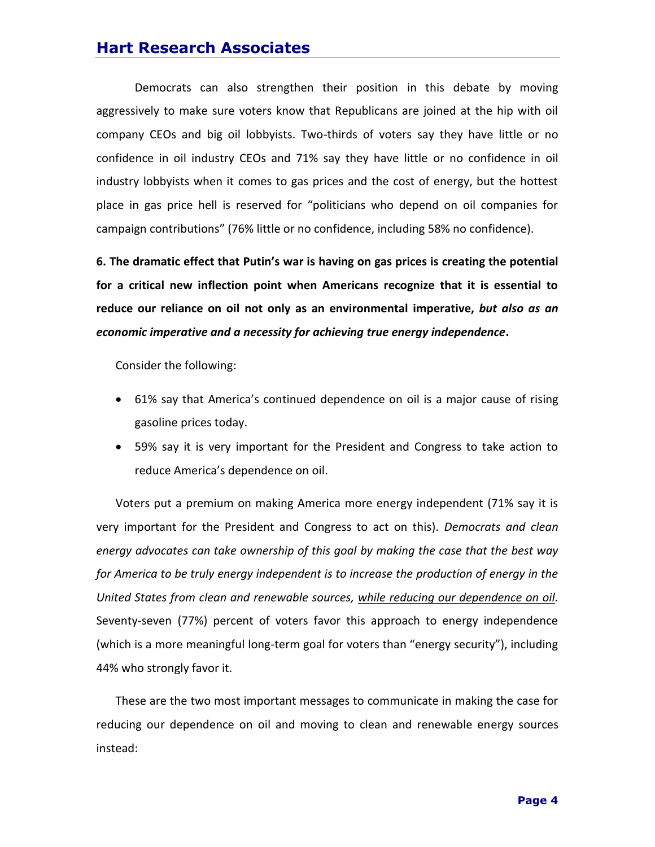## **Hart Research Associates**

Democrats can also strengthen their position in this debate by moving aggressively to make sure voters know that Republicans are joined at the hip with oil company CEOs and big oil lobbyists. Two-thirds of voters say they have little or no confidence in oil industry CEOs and 71% say they have little or no confidence in oil industry lobbyists when it comes to gas prices and the cost of energy, but the hottest place in gas price hell is reserved for "politicians who depend on oil companies for campaign contributions" (76% little or no confidence, including 58% no confidence).

**6. The dramatic effect that Putin's war is having on gas prices is creating the potential for a critical new inflection point when Americans recognize that it is essential to reduce our reliance on oil not only as an environmental imperative,** *but also as an economic imperative and a necessity for achieving true energy independence***.** 

Consider the following:

- 61% say that America's continued dependence on oil is a major cause of rising gasoline prices today.
- 59% say it is very important for the President and Congress to take action to reduce America's dependence on oil.

Voters put a premium on making America more energy independent (71% say it is very important for the President and Congress to act on this). *Democrats and clean energy advocates can take ownership of this goal by making the case that the best way for America to be truly energy independent is to increase the production of energy in the United States from clean and renewable sources, while reducing our dependence on oil.* Seventy-seven (77%) percent of voters favor this approach to energy independence (which is a more meaningful long-term goal for voters than "energy security"), including 44% who strongly favor it.

These are the two most important messages to communicate in making the case for reducing our dependence on oil and moving to clean and renewable energy sources instead: